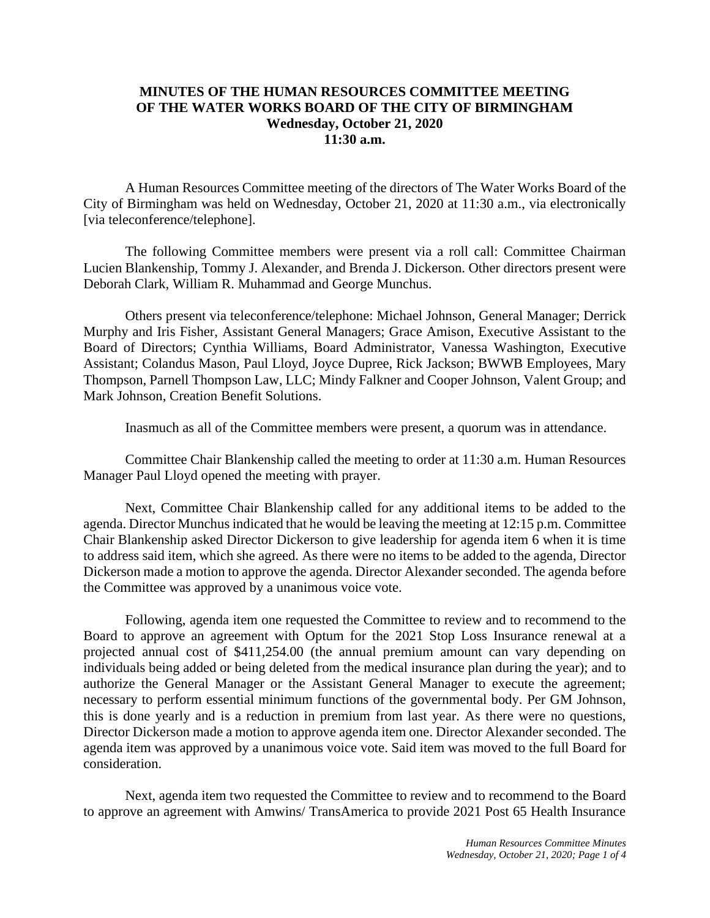## **MINUTES OF THE HUMAN RESOURCES COMMITTEE MEETING OF THE WATER WORKS BOARD OF THE CITY OF BIRMINGHAM Wednesday, October 21, 2020 11:30 a.m.**

A Human Resources Committee meeting of the directors of The Water Works Board of the City of Birmingham was held on Wednesday, October 21, 2020 at 11:30 a.m., via electronically [via teleconference/telephone].

The following Committee members were present via a roll call: Committee Chairman Lucien Blankenship, Tommy J. Alexander, and Brenda J. Dickerson. Other directors present were Deborah Clark, William R. Muhammad and George Munchus.

Others present via teleconference/telephone: Michael Johnson, General Manager; Derrick Murphy and Iris Fisher, Assistant General Managers; Grace Amison, Executive Assistant to the Board of Directors; Cynthia Williams, Board Administrator, Vanessa Washington, Executive Assistant; Colandus Mason, Paul Lloyd, Joyce Dupree, Rick Jackson; BWWB Employees, Mary Thompson, Parnell Thompson Law, LLC; Mindy Falkner and Cooper Johnson, Valent Group; and Mark Johnson, Creation Benefit Solutions.

Inasmuch as all of the Committee members were present, a quorum was in attendance.

Committee Chair Blankenship called the meeting to order at 11:30 a.m. Human Resources Manager Paul Lloyd opened the meeting with prayer.

Next, Committee Chair Blankenship called for any additional items to be added to the agenda. Director Munchus indicated that he would be leaving the meeting at 12:15 p.m. Committee Chair Blankenship asked Director Dickerson to give leadership for agenda item 6 when it is time to address said item, which she agreed. As there were no items to be added to the agenda, Director Dickerson made a motion to approve the agenda. Director Alexander seconded. The agenda before the Committee was approved by a unanimous voice vote.

Following, agenda item one requested the Committee to review and to recommend to the Board to approve an agreement with Optum for the 2021 Stop Loss Insurance renewal at a projected annual cost of \$411,254.00 (the annual premium amount can vary depending on individuals being added or being deleted from the medical insurance plan during the year); and to authorize the General Manager or the Assistant General Manager to execute the agreement; necessary to perform essential minimum functions of the governmental body. Per GM Johnson, this is done yearly and is a reduction in premium from last year. As there were no questions, Director Dickerson made a motion to approve agenda item one. Director Alexander seconded. The agenda item was approved by a unanimous voice vote. Said item was moved to the full Board for consideration.

Next, agenda item two requested the Committee to review and to recommend to the Board to approve an agreement with Amwins/ TransAmerica to provide 2021 Post 65 Health Insurance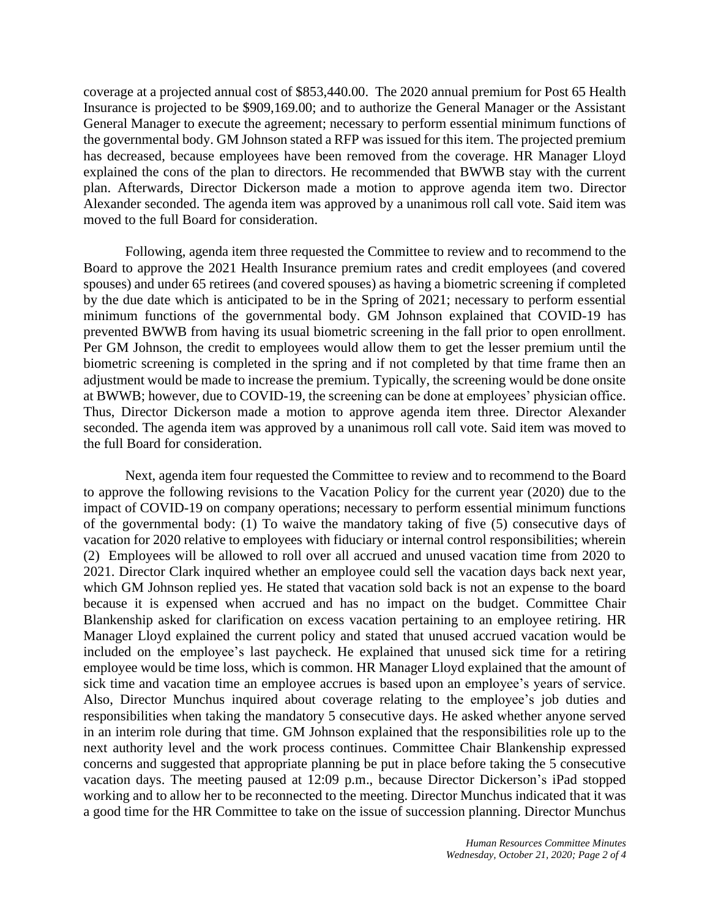coverage at a projected annual cost of \$853,440.00. The 2020 annual premium for Post 65 Health Insurance is projected to be \$909,169.00; and to authorize the General Manager or the Assistant General Manager to execute the agreement; necessary to perform essential minimum functions of the governmental body. GM Johnson stated a RFP was issued for this item. The projected premium has decreased, because employees have been removed from the coverage. HR Manager Lloyd explained the cons of the plan to directors. He recommended that BWWB stay with the current plan. Afterwards, Director Dickerson made a motion to approve agenda item two. Director Alexander seconded. The agenda item was approved by a unanimous roll call vote. Said item was moved to the full Board for consideration.

Following, agenda item three requested the Committee to review and to recommend to the Board to approve the 2021 Health Insurance premium rates and credit employees (and covered spouses) and under 65 retirees (and covered spouses) as having a biometric screening if completed by the due date which is anticipated to be in the Spring of 2021; necessary to perform essential minimum functions of the governmental body. GM Johnson explained that COVID-19 has prevented BWWB from having its usual biometric screening in the fall prior to open enrollment. Per GM Johnson, the credit to employees would allow them to get the lesser premium until the biometric screening is completed in the spring and if not completed by that time frame then an adjustment would be made to increase the premium. Typically, the screening would be done onsite at BWWB; however, due to COVID-19, the screening can be done at employees' physician office. Thus, Director Dickerson made a motion to approve agenda item three. Director Alexander seconded. The agenda item was approved by a unanimous roll call vote. Said item was moved to the full Board for consideration.

Next, agenda item four requested the Committee to review and to recommend to the Board to approve the following revisions to the Vacation Policy for the current year (2020) due to the impact of COVID-19 on company operations; necessary to perform essential minimum functions of the governmental body: (1) To waive the mandatory taking of five (5) consecutive days of vacation for 2020 relative to employees with fiduciary or internal control responsibilities; wherein (2) Employees will be allowed to roll over all accrued and unused vacation time from 2020 to 2021. Director Clark inquired whether an employee could sell the vacation days back next year, which GM Johnson replied yes. He stated that vacation sold back is not an expense to the board because it is expensed when accrued and has no impact on the budget. Committee Chair Blankenship asked for clarification on excess vacation pertaining to an employee retiring. HR Manager Lloyd explained the current policy and stated that unused accrued vacation would be included on the employee's last paycheck. He explained that unused sick time for a retiring employee would be time loss, which is common. HR Manager Lloyd explained that the amount of sick time and vacation time an employee accrues is based upon an employee's years of service. Also, Director Munchus inquired about coverage relating to the employee's job duties and responsibilities when taking the mandatory 5 consecutive days. He asked whether anyone served in an interim role during that time. GM Johnson explained that the responsibilities role up to the next authority level and the work process continues. Committee Chair Blankenship expressed concerns and suggested that appropriate planning be put in place before taking the 5 consecutive vacation days. The meeting paused at 12:09 p.m., because Director Dickerson's iPad stopped working and to allow her to be reconnected to the meeting. Director Munchus indicated that it was a good time for the HR Committee to take on the issue of succession planning. Director Munchus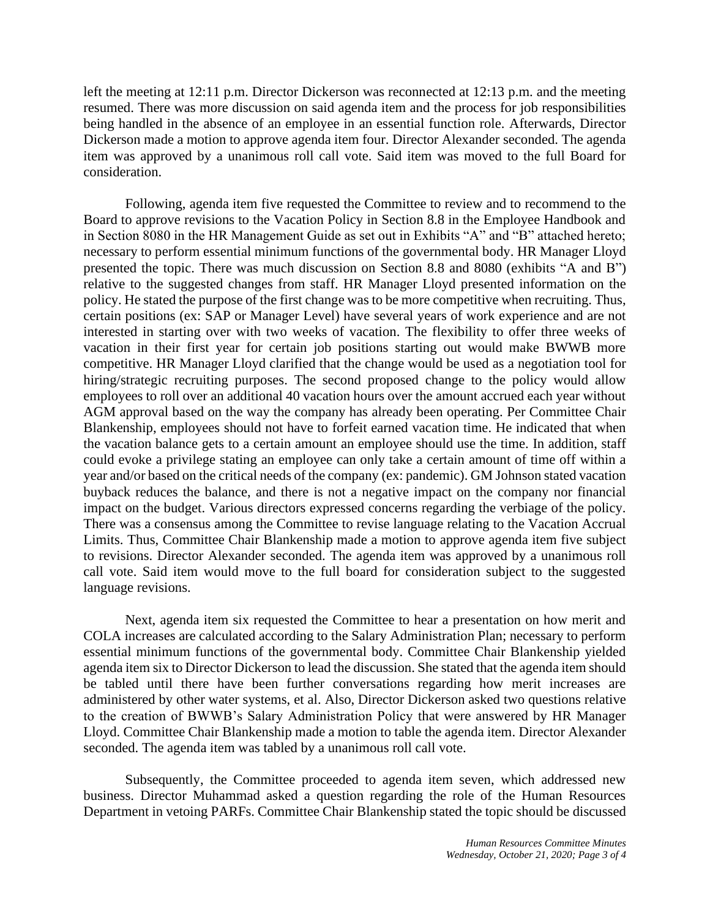left the meeting at 12:11 p.m. Director Dickerson was reconnected at 12:13 p.m. and the meeting resumed. There was more discussion on said agenda item and the process for job responsibilities being handled in the absence of an employee in an essential function role. Afterwards, Director Dickerson made a motion to approve agenda item four. Director Alexander seconded. The agenda item was approved by a unanimous roll call vote. Said item was moved to the full Board for consideration.

Following, agenda item five requested the Committee to review and to recommend to the Board to approve revisions to the Vacation Policy in Section 8.8 in the Employee Handbook and in Section 8080 in the HR Management Guide as set out in Exhibits "A" and "B" attached hereto; necessary to perform essential minimum functions of the governmental body. HR Manager Lloyd presented the topic. There was much discussion on Section 8.8 and 8080 (exhibits "A and B") relative to the suggested changes from staff. HR Manager Lloyd presented information on the policy. He stated the purpose of the first change was to be more competitive when recruiting. Thus, certain positions (ex: SAP or Manager Level) have several years of work experience and are not interested in starting over with two weeks of vacation. The flexibility to offer three weeks of vacation in their first year for certain job positions starting out would make BWWB more competitive. HR Manager Lloyd clarified that the change would be used as a negotiation tool for hiring/strategic recruiting purposes. The second proposed change to the policy would allow employees to roll over an additional 40 vacation hours over the amount accrued each year without AGM approval based on the way the company has already been operating. Per Committee Chair Blankenship, employees should not have to forfeit earned vacation time. He indicated that when the vacation balance gets to a certain amount an employee should use the time. In addition, staff could evoke a privilege stating an employee can only take a certain amount of time off within a year and/or based on the critical needs of the company (ex: pandemic). GM Johnson stated vacation buyback reduces the balance, and there is not a negative impact on the company nor financial impact on the budget. Various directors expressed concerns regarding the verbiage of the policy. There was a consensus among the Committee to revise language relating to the Vacation Accrual Limits. Thus, Committee Chair Blankenship made a motion to approve agenda item five subject to revisions. Director Alexander seconded. The agenda item was approved by a unanimous roll call vote. Said item would move to the full board for consideration subject to the suggested language revisions.

Next, agenda item six requested the Committee to hear a presentation on how merit and COLA increases are calculated according to the Salary Administration Plan; necessary to perform essential minimum functions of the governmental body. Committee Chair Blankenship yielded agenda item six to Director Dickerson to lead the discussion. She stated that the agenda item should be tabled until there have been further conversations regarding how merit increases are administered by other water systems, et al. Also, Director Dickerson asked two questions relative to the creation of BWWB's Salary Administration Policy that were answered by HR Manager Lloyd. Committee Chair Blankenship made a motion to table the agenda item. Director Alexander seconded. The agenda item was tabled by a unanimous roll call vote.

Subsequently, the Committee proceeded to agenda item seven, which addressed new business. Director Muhammad asked a question regarding the role of the Human Resources Department in vetoing PARFs. Committee Chair Blankenship stated the topic should be discussed